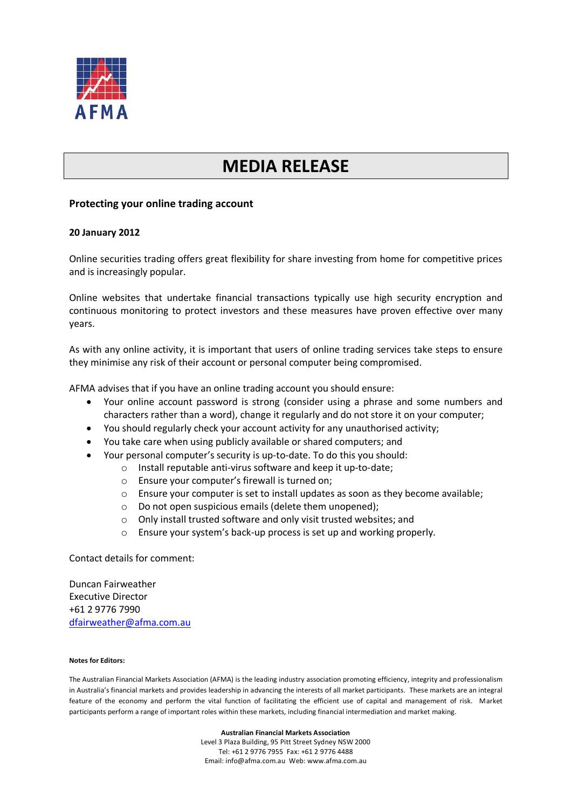

## **MEDIA RELEASE**

## **Protecting your online trading account**

## **20 January 2012**

Online securities trading offers great flexibility for share investing from home for competitive prices and is increasingly popular.

Online websites that undertake financial transactions typically use high security encryption and continuous monitoring to protect investors and these measures have proven effective over many years.

As with any online activity, it is important that users of online trading services take steps to ensure they minimise any risk of their account or personal computer being compromised.

AFMA advises that if you have an online trading account you should ensure:

- Your online account password is strong (consider using a phrase and some numbers and characters rather than a word), change it regularly and do not store it on your computer;
- You should regularly check your account activity for any unauthorised activity;
- You take care when using publicly available or shared computers; and
- Your personal computer's security is up-to-date. To do this you should:
	- o Install reputable anti-virus software and keep it up-to-date;
		- o Ensure your computer's firewall is turned on;
		- o Ensure your computer is set to install updates as soon as they become available;
		- o Do not open suspicious emails (delete them unopened);
		- o Only install trusted software and only visit trusted websites; and
		- o Ensure your system's back-up process is set up and working properly.

Contact details for comment:

Duncan Fairweather Executive Director +61 2 9776 7990 [dfairweather@afma.com.au](mailto:dfairweather@afma.com.au)

## **Notes for Editors:**

The Australian Financial Markets Association (AFMA) is the leading industry association promoting efficiency, integrity and professionalism in Australia's financial markets and provides leadership in advancing the interests of all market participants. These markets are an integral feature of the economy and perform the vital function of facilitating the efficient use of capital and management of risk. Market participants perform a range of important roles within these markets, including financial intermediation and market making.

> **Australian Financial Markets Association** Level 3 Plaza Building, 95 Pitt Street Sydney NSW 2000 Tel: +61 2 9776 7955 Fax: +61 2 9776 4488 Email: info@afma.com.au Web: www.afma.com.au